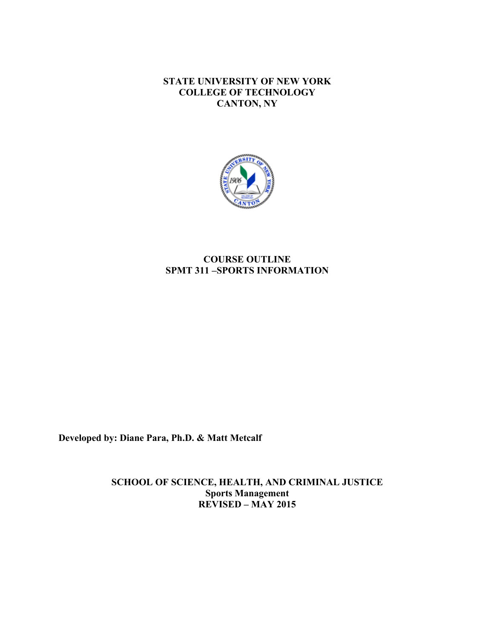**STATE UNIVERSITY OF NEW YORK COLLEGE OF TECHNOLOGY CANTON, NY**



# **COURSE OUTLINE SPMT 311 –SPORTS INFORMATION**

**Developed by: Diane Para, Ph.D. & Matt Metcalf** 

 **REVISED – MAY 2015 SCHOOL OF SCIENCE, HEALTH, AND CRIMINAL JUSTICE Sports Management**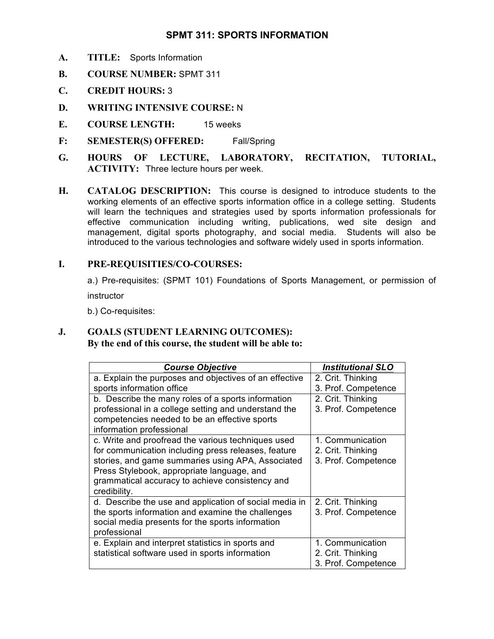## **SPMT 311: SPORTS INFORMATION**

- **A. TITLE:** Sports Information
- **B. COURSE NUMBER:** SPMT 311
- **C. CREDIT HOURS:** 3
- **D. WRITING INTENSIVE COURSE:** N
- **E. COURSE LENGTH:** 15 weeks
- **F: SEMESTER(S) OFFERED:** Fall/Spring
- **G. HOURS OF LECTURE, LABORATORY, RECITATION, TUTORIAL, ACTIVITY:** Three lecture hours per week.
- **H. CATALOG DESCRIPTION:** This course is designed to introduce students to the working elements of an effective sports information office in a college setting. Students will learn the techniques and strategies used by sports information professionals for management, digital sports photography, and social media. Students will also be effective communication including writing, publications, wed site design and introduced to the various technologies and software widely used in sports information.

## **I. PRE-REQUISITIES/CO-COURSES:**

 a.) Pre-requisites: (SPMT 101) Foundations of Sports Management, or permission of instructor

b.) Co-requisites:

#### **J. GOALS (STUDENT LEARNING OUTCOMES): By the end of this course, the student will be able to:**

| <b>Course Objective</b>                                | <b>Institutional SLO</b> |
|--------------------------------------------------------|--------------------------|
| a. Explain the purposes and objectives of an effective | 2. Crit. Thinking        |
| sports information office                              | 3. Prof. Competence      |
| b. Describe the many roles of a sports information     | 2. Crit. Thinking        |
| professional in a college setting and understand the   | 3. Prof. Competence      |
| competencies needed to be an effective sports          |                          |
| information professional                               |                          |
| c. Write and proofread the various techniques used     | 1. Communication         |
| for communication including press releases, feature    | 2. Crit. Thinking        |
| stories, and game summaries using APA, Associated      | 3. Prof. Competence      |
| Press Stylebook, appropriate language, and             |                          |
| grammatical accuracy to achieve consistency and        |                          |
| credibility.                                           |                          |
| d. Describe the use and application of social media in | 2. Crit. Thinking        |
| the sports information and examine the challenges      | 3. Prof. Competence      |
| social media presents for the sports information       |                          |
| professional                                           |                          |
| e. Explain and interpret statistics in sports and      | 1. Communication         |
| statistical software used in sports information        | 2. Crit. Thinking        |
|                                                        | 3. Prof. Competence      |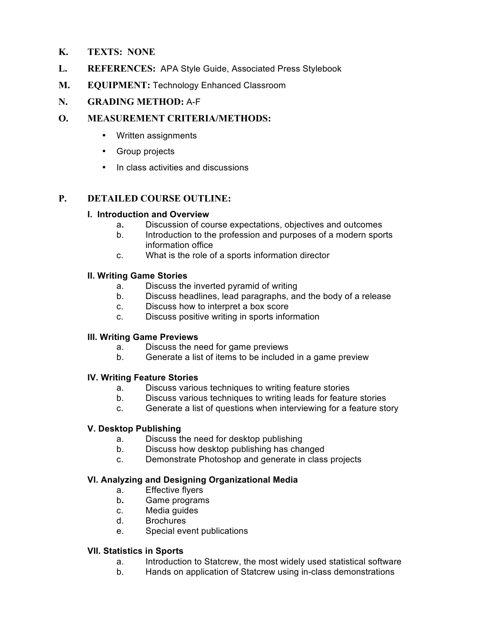## **K. TEXTS: NONE**

- **L. REFERENCES:** APA Style Guide, Associated Press Stylebook
- **M. EQUIPMENT:** Technology Enhanced Classroom

## **N. GRADING METHOD:** A-F

## **O. MEASUREMENT CRITERIA/METHODS:**

- Written assignments
- Group projects
- In class activities and discussions

## **P. DETAILED COURSE OUTLINE:**

## **I. Introduction and Overview**

- a**.** Discussion of course expectations, objectives and outcomes
- $h$  information office Introduction to the profession and purposes of a modern sports
- C. What is the role of a sports information director

#### **II. Writing Game Stories**

- a. Discuss the inverted pyramid of writing
- b. Discuss headlines, lead paragraphs, and the body of a release
- c. Discuss how to interpret a box score
- c. Discuss positive writing in sports information

#### **III. Writing Game Previews**

- a. Discuss the need for game previews
- b. Generate a list of items to be included in a game preview

## **IV. Writing Feature Stories**

- a. Discuss various techniques to writing feature stories
- b. Discuss various techniques to writing leads for feature stories
- c. Generate a list of questions when interviewing for a feature story

## **V. Desktop Publishing**

- a. Discuss the need for desktop publishing
- b. Discuss how desktop publishing has changed
- $c_{\cdot}$ Demonstrate Photoshop and generate in class projects

## **VI. Analyzing and Designing Organizational Media**

- a. Effective flyers
- b. Game programs
- c. Media guides
- d. Brochures
- e. Special event publications

## **VII. Statistics in Sports**

- a. Introduction to Statcrew, the most widely used statistical software
- b. Hands on application of Statcrew using in-class demonstrations